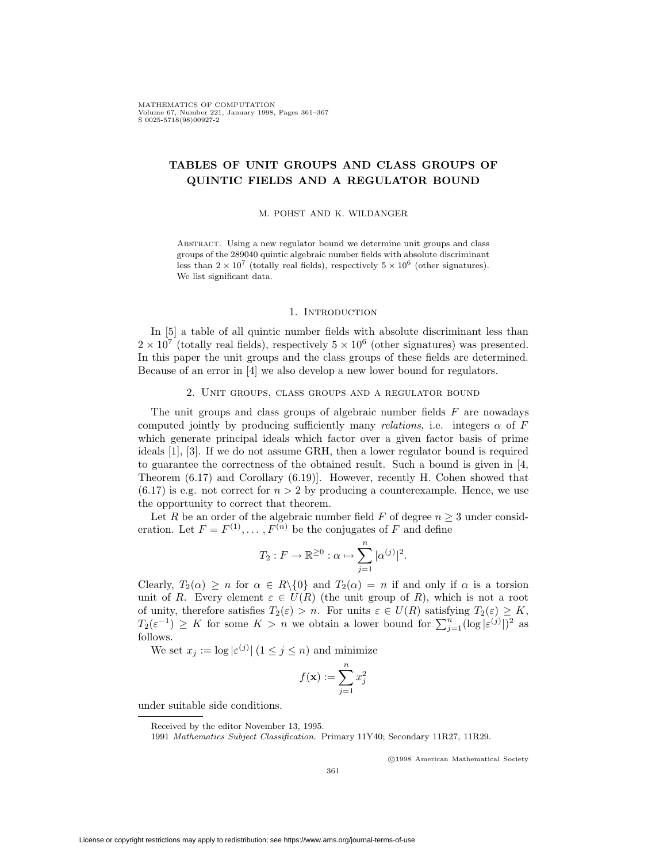# **TABLES OF UNIT GROUPS AND CLASS GROUPS OF QUINTIC FIELDS AND A REGULATOR BOUND**

M. POHST AND K. WILDANGER

Abstract. Using a new regulator bound we determine unit groups and class groups of the 289040 quintic algebraic number fields with absolute discriminant less than  $2 \times 10^7$  (totally real fields), respectively  $5 \times 10^6$  (other signatures). We list significant data.

# 1. INTRODUCTION

In [5] a table of all quintic number fields with absolute discriminant less than  $2 \times 10^7$  (totally real fields), respectively  $5 \times 10^6$  (other signatures) was presented. In this paper the unit groups and the class groups of these fields are determined. Because of an error in [4] we also develop a new lower bound for regulators.

#### 2. Unit groups, class groups and a regulator bound

The unit groups and class groups of algebraic number fields *F* are nowadays computed jointly by producing sufficiently many *relations*, i.e. integers  $\alpha$  of  $F$ which generate principal ideals which factor over a given factor basis of prime ideals [1], [3]. If we do not assume GRH, then a lower regulator bound is required to guarantee the correctness of the obtained result. Such a bound is given in [4, Theorem (6.17) and Corollary (6.19)]. However, recently H. Cohen showed that  $(6.17)$  is e.g. not correct for  $n > 2$  by producing a counterexample. Hence, we use the opportunity to correct that theorem.

Let *R* be an order of the algebraic number field *F* of degree  $n \geq 3$  under consideration. Let  $F = F^{(1)}, \ldots, F^{(n)}$  be the conjugates of *F* and define

$$
T_2:F\to\mathbb{R}^{\geq 0}:\alpha\mapsto \sum_{j=1}^n|\alpha^{(j)}|^2.
$$

Clearly,  $T_2(\alpha) \geq n$  for  $\alpha \in R \setminus \{0\}$  and  $T_2(\alpha) = n$  if and only if  $\alpha$  is a torsion unit of *R*. Every element  $\varepsilon \in U(R)$  (the unit group of *R*), which is not a root of unity, therefore satisfies  $T_2(\varepsilon) > n$ . For units  $\varepsilon \in U(R)$  satisfying  $T_2(\varepsilon) \geq K$ ,  $T_2(\varepsilon^{-1}) \geq K$  for some  $K > n$  we obtain a lower bound for  $\sum_{j=1}^n (\log |\varepsilon^{(j)}|)^2$  as follows follows.

We set  $x_j := \log |\varepsilon^{(j)}| (1 \le j \le n)$  and minimize

$$
f(\mathbf{x}) := \sum_{j=1}^{n} x_j^2
$$

under suitable side conditions.

1991 *Mathematics Subject Classification.* Primary 11Y40; Secondary 11R27, 11R29.

<sup>c</sup> 1998 American Mathematical Society

Received by the editor November 13, 1995.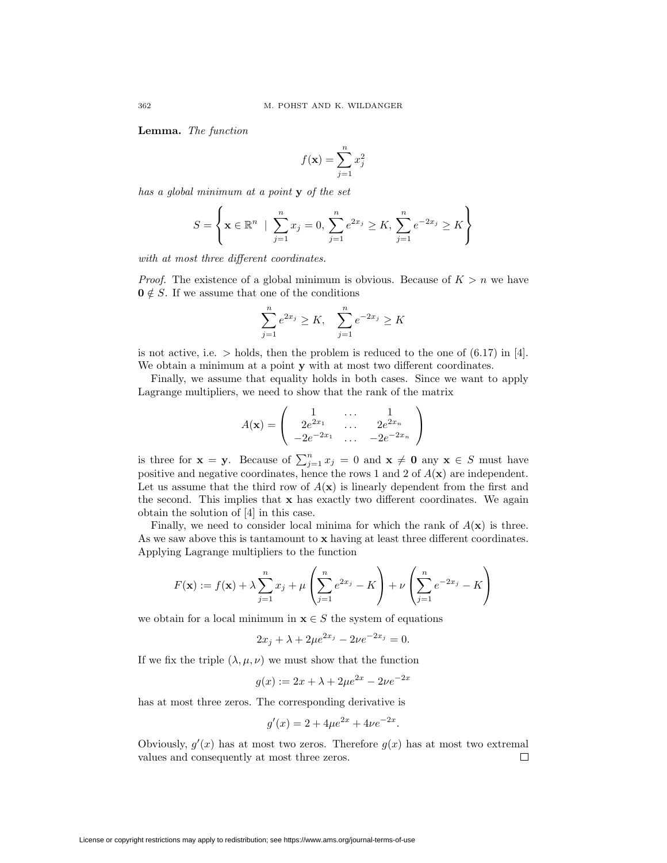**Lemma.** *The function*

$$
f(\mathbf{x}) = \sum_{j=1}^{n} x_j^2
$$

*has a global minimum at a point* **y** *of the set*

$$
S = \left\{ \mathbf{x} \in \mathbb{R}^n \mid \sum_{j=1}^n x_j = 0, \sum_{j=1}^n e^{2x_j} \ge K, \sum_{j=1}^n e^{-2x_j} \ge K \right\}
$$

*with at most three different coordinates.*

*Proof.* The existence of a global minimum is obvious. Because of  $K > n$  we have  $\mathbf{0} \notin S$ . If we assume that one of the conditions

$$
\sum_{j=1}^{n} e^{2x_j} \ge K, \quad \sum_{j=1}^{n} e^{-2x_j} \ge K
$$

is not active, i.e.  $>$  holds, then the problem is reduced to the one of  $(6.17)$  in [4]. We obtain a minimum at a point **y** with at most two different coordinates.

Finally, we assume that equality holds in both cases. Since we want to apply Lagrange multipliers, we need to show that the rank of the matrix

$$
A(\mathbf{x}) = \begin{pmatrix} 1 & \dots & 1 \\ 2e^{2x_1} & \dots & 2e^{2x_n} \\ -2e^{-2x_1} & \dots & -2e^{-2x_n} \end{pmatrix}
$$

is three for  $\mathbf{x} = \mathbf{y}$ . Because of  $\sum_{j=1}^{n} x_j = 0$  and  $\mathbf{x} \neq \mathbf{0}$  any  $\mathbf{x} \in S$  must have positive and negative coordinates, hence the rows 1 and 2 of *A*(**x**) are independent. Let us assume that the third row of  $A(\mathbf{x})$  is linearly dependent from the first and the second. This implies that **x** has exactly two different coordinates. We again obtain the solution of [4] in this case.

Finally, we need to consider local minima for which the rank of  $A(\mathbf{x})$  is three. As we saw above this is tantamount to **x** having at least three different coordinates. Applying Lagrange multipliers to the function

$$
F(\mathbf{x}) := f(\mathbf{x}) + \lambda \sum_{j=1}^{n} x_j + \mu \left( \sum_{j=1}^{n} e^{2x_j} - K \right) + \nu \left( \sum_{j=1}^{n} e^{-2x_j} - K \right)
$$

we obtain for a local minimum in  $\mathbf{x} \in S$  the system of equations

$$
2x_j + \lambda + 2\mu e^{2x_j} - 2\nu e^{-2x_j} = 0.
$$

If we fix the triple  $(\lambda, \mu, \nu)$  we must show that the function

$$
g(x) := 2x + \lambda + 2\mu e^{2x} - 2\nu e^{-2x}
$$

has at most three zeros. The corresponding derivative is

$$
g'(x) = 2 + 4\mu e^{2x} + 4\nu e^{-2x}.
$$

Obviously,  $g'(x)$  has at most two zeros. Therefore  $g(x)$  has at most two extremal<br>values and consequently at most three zeros values and consequently at most three zeros.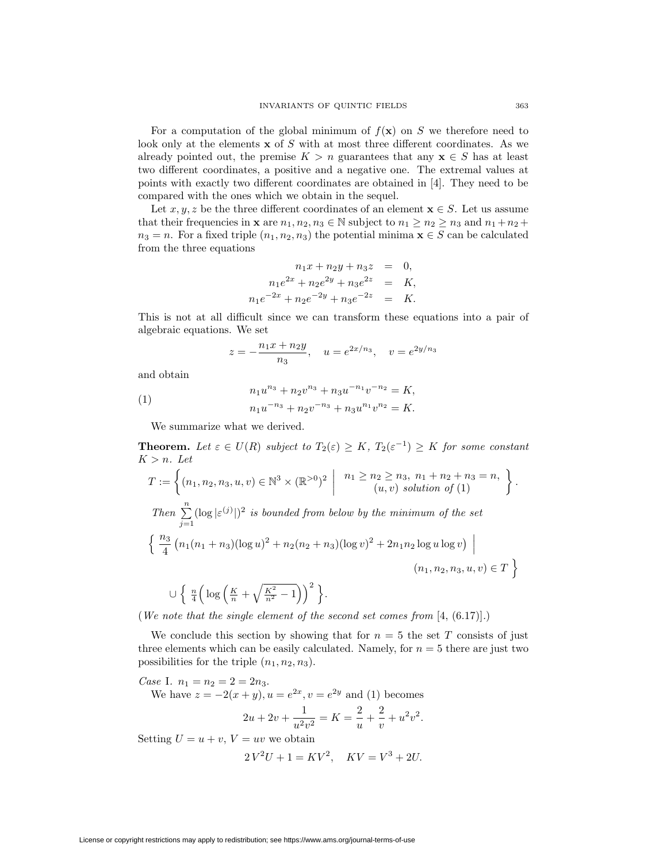For a computation of the global minimum of  $f(\mathbf{x})$  on *S* we therefore need to look only at the elements **<sup>x</sup>** of *S* with at most three different coordinates. As we already pointed out, the premise  $K > n$  guarantees that any  $\mathbf{x} \in S$  has at least two different coordinates, a positive and a negative one. The extremal values at points with exactly two different coordinates are obtained in [4]. They need to be compared with the ones which we obtain in the sequel.

Let  $x, y, z$  be the three different coordinates of an element  $\mathbf{x} \in S$ . Let us assume that their frequencies in **x** are  $n_1, n_2, n_3 \in \mathbb{N}$  subject to  $n_1 \geq n_2 \geq n_3$  and  $n_1 + n_2 +$  $n_3 = n$ . For a fixed triple  $(n_1, n_2, n_3)$  the potential minima  $\mathbf{x} \in S$  can be calculated from the three equations

$$
n_1x + n_2y + n_3z = 0,
$$
  
\n
$$
n_1e^{2x} + n_2e^{2y} + n_3e^{2z} = K,
$$
  
\n
$$
n_1e^{-2x} + n_2e^{-2y} + n_3e^{-2z} = K.
$$

This is not at all difficult since we can transform these equations into a pair of algebraic equations. We set

$$
z = -\frac{n_1x + n_2y}{n_3}
$$
,  $u = e^{2x/n_3}$ ,  $v = e^{2y/n_3}$ 

and obtain

(1) 
$$
n_1u^{n_3} + n_2v^{n_3} + n_3u^{-n_1}v^{-n_2} = K,
$$

$$
n_1u^{-n_3} + n_2v^{-n_3} + n_3u^{n_1}v^{n_2} = K.
$$

We summarize what we derived.

**Theorem.** Let  $\varepsilon \in U(R)$  subject to  $T_2(\varepsilon) \geq K$ ,  $T_2(\varepsilon^{-1}) \geq K$  for some constant *K>n. Let*

$$
T := \left\{ (n_1, n_2, n_3, u, v) \in \mathbb{N}^3 \times (\mathbb{R}^{>0})^2 \middle| \quad n_1 \ge n_2 \ge n_3, \ n_1 + n_2 + n_3 = n, \atop (u, v) \text{ solution of (1)} \right\}.
$$
  
\nThen 
$$
\sum_{j=1}^n (\log |\varepsilon^{(j)}|)^2
$$
 is bounded from below by the minimum of the set  
\n
$$
\left\{ \frac{n_3}{4} (n_1(n_1 + n_3)(\log u)^2 + n_2(n_2 + n_3)(\log v)^2 + 2n_1 n_2 \log u \log v) \middle| \right\}
$$
  
\n
$$
(n_1, n_2, n_3, u, v) \in T \right\}
$$

$$
\cup \left\{ \frac{n}{4} \left( \log \left( \frac{K}{n} + \sqrt{\frac{K^2}{n^2}} - 1 \right) \right)^2 \right\}.
$$

(*We note that the single element of the second set comes from* [4, (6.17)]*.*)

We conclude this section by showing that for  $n = 5$  the set  $T$  consists of just three elements which can be easily calculated. Namely, for  $n = 5$  there are just two possibilities for the triple  $(n_1, n_2, n_3)$ .

*Case* I*.*  $n_1 = n_2 = 2 = 2n_3$ .

We have  $z = -2(x + y)$ ,  $u = e^{2x}$ ,  $v = e^{2y}$  and (1) becomes

$$
2u + 2v + \frac{1}{u^2v^2} = K = \frac{2}{u} + \frac{2}{v} + u^2v^2.
$$

Setting  $U = u + v$ ,  $V = uv$  we obtain

$$
2V^2U + 1 = KV^2, \quad KV = V^3 + 2U.
$$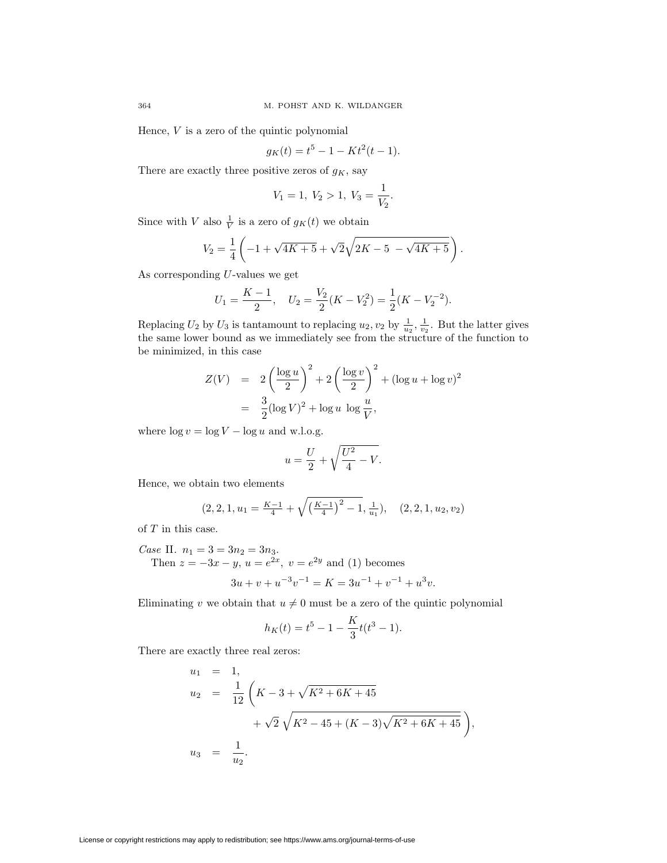Hence, *V* is a zero of the quintic polynomial

$$
g_K(t) = t^5 - 1 - Kt^2(t - 1).
$$

There are exactly three positive zeros of *g<sup>K</sup>*, say

$$
V_1 = 1, V_2 > 1, V_3 = \frac{1}{V_2}.
$$

Since with *V* also  $\frac{1}{V}$  is a zero of  $g_K(t)$  we obtain

$$
V_2 = \frac{1}{4} \left( -1 + \sqrt{4K + 5} + \sqrt{2\sqrt{2K - 5} - \sqrt{4K + 5}} \right).
$$

As corresponding *U*-values we get

$$
U_1 = \frac{K-1}{2}, \quad U_2 = \frac{V_2}{2}(K - V_2^2) = \frac{1}{2}(K - V_2^{-2}).
$$

Replacing  $U_2$  by  $U_3$  is tantamount to replacing  $u_2, v_2$  by  $\frac{1}{u_2}, \frac{1}{v_2}$ . But the latter gives the same lower bound as we immediately see from the structure of the function to the same lower bound as we immediately see from the structure of the function to be minimized, in this case

$$
Z(V) = 2\left(\frac{\log u}{2}\right)^2 + 2\left(\frac{\log v}{2}\right)^2 + (\log u + \log v)^2
$$
  
=  $\frac{3}{2}(\log V)^2 + \log u \log \frac{u}{V}$ ,

where  $\log v = \log V - \log u$  and w.l.o.g.

$$
u = \frac{U}{2} + \sqrt{\frac{U^2}{4} - V}.
$$

Hence, we obtain two elements

$$
(2, 2, 1, u_1 = \frac{K-1}{4} + \sqrt{\left(\frac{K-1}{4}\right)^2 - 1}, \frac{1}{u_1}), \quad (2, 2, 1, u_2, v_2)
$$

of *T* in this case.

*Case* II*.*  $n_1 = 3 = 3n_2 = 3n_3$ .<br>Then  $z = -3x - y$ ,  $y = e^{2x}$ Then  $z = -3x - y$ ,  $u = e^{2x}$ ,  $v = e^{2y}$  and (1) becomes

$$
3u + v + u^{-3}v^{-1} = K = 3u^{-1} + v^{-1} + u^{3}v.
$$

Eliminating *v* we obtain that  $u \neq 0$  must be a zero of the quintic polynomial

$$
h_K(t) = t^5 - 1 - \frac{K}{3}t(t^3 - 1).
$$

There are exactly three real zeros:

$$
u_1 = 1,
$$
  
\n
$$
u_2 = \frac{1}{12} \left( K - 3 + \sqrt{K^2 + 6K + 45} + \sqrt{2} \sqrt{K^2 - 45 + (K - 3) \sqrt{K^2 + 6K + 45}} \right),
$$
  
\n
$$
u_3 = \frac{1}{u_2}.
$$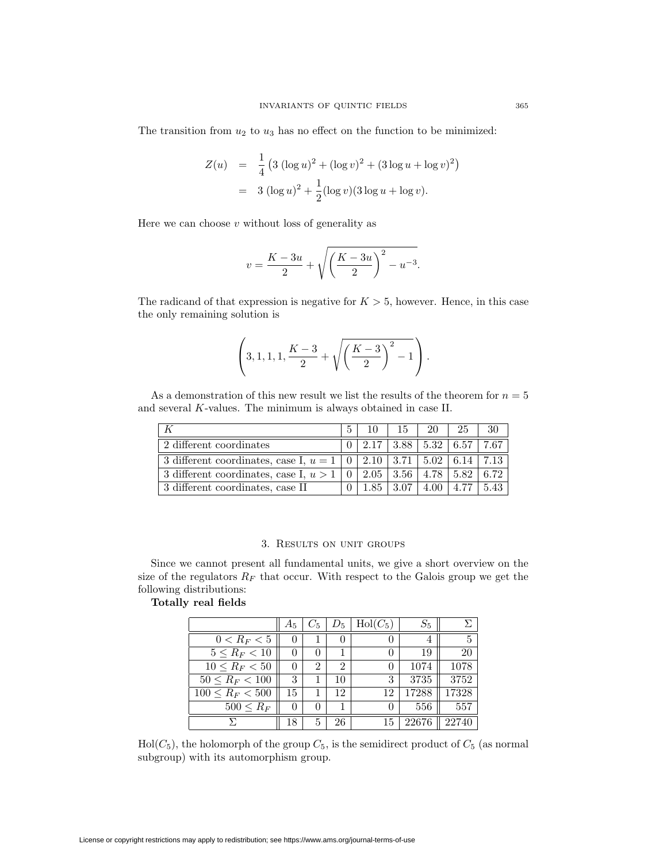The transition from  $u_2$  to  $u_3$  has no effect on the function to be minimized:

$$
Z(u) = \frac{1}{4} \left( 3 (\log u)^2 + (\log v)^2 + (3 \log u + \log v)^2 \right)
$$
  
= 3 (\log u)^2 + \frac{1}{2} (\log v) (3 \log u + \log v).

Here we can choose *v* without loss of generality as

$$
v = \frac{K - 3u}{2} + \sqrt{\left(\frac{K - 3u}{2}\right)^2 - u^{-3}}.
$$

The radicand of that expression is negative for  $K > 5$ , however. Hence, in this case the only remaining solution is

$$
\left(3, 1, 1, 1, \frac{K-3}{2} + \sqrt{\left(\frac{K-3}{2}\right)^2 - 1}\right).
$$

As a demonstration of this new result we list the results of the theorem for  $n = 5$ and several *K*-values. The minimum is always obtained in case II.

|                                                                                                   |     | 15                                        | 20   | 25   | 30   |
|---------------------------------------------------------------------------------------------------|-----|-------------------------------------------|------|------|------|
| 2 different coordinates                                                                           |     | $12.17$   3.88   5.32   6.57   7.67       |      |      |      |
| 3 different coordinates, case I, $u = 1 \mid 0 \mid 2.10 \mid 3.71 \mid 5.02 \mid 6.14 \mid 7.13$ |     |                                           |      |      |      |
| 3 different coordinates, case I, $u > 1$                                                          |     | $2.05 \mid 3.56 \mid 4.78 \mid 5.82 \mid$ |      |      | 6.72 |
| 3 different coordinates, case II                                                                  | 185 | 3.07                                      | 4.00 | 4.77 |      |

### 3. Results on unit groups

Since we cannot present all fundamental units, we give a short overview on the size of the regulators *<sup>R</sup><sup>F</sup>* that occur. With respect to the Galois group we get the following distributions:

# **Totally real fields**

|                              | $A_5$ |    | $C_5 \mid D_5$ | $\text{Hol}(C_5)$ | $S_5$ |       |
|------------------------------|-------|----|----------------|-------------------|-------|-------|
| $0 < R_F < 5$                |       |    | U              |                   | 4     | 5     |
| $5 \le R_F < 10$             |       |    |                | 0                 | 19    | 20    |
| $\overline{10} \le R_F < 50$ |       | 2  | 2              | $\theta$          | 1074  | 1078  |
| $50 \le R_F < 100$           | 3     |    | 10             | 3                 | 3735  | 3752  |
| $100 \le R_F < 500$          | 15    |    | 12             | 12                | 17288 | 17328 |
| $500 \leq R_F$               | 0     |    |                | 0                 | 556   | 557   |
|                              |       | Ð. |                | 15                | 22676 | 22740 |

 $Hol(C_5)$ , the holomorph of the group  $C_5$ , is the semidirect product of  $C_5$  (as normal subgroup) with its automorphism group.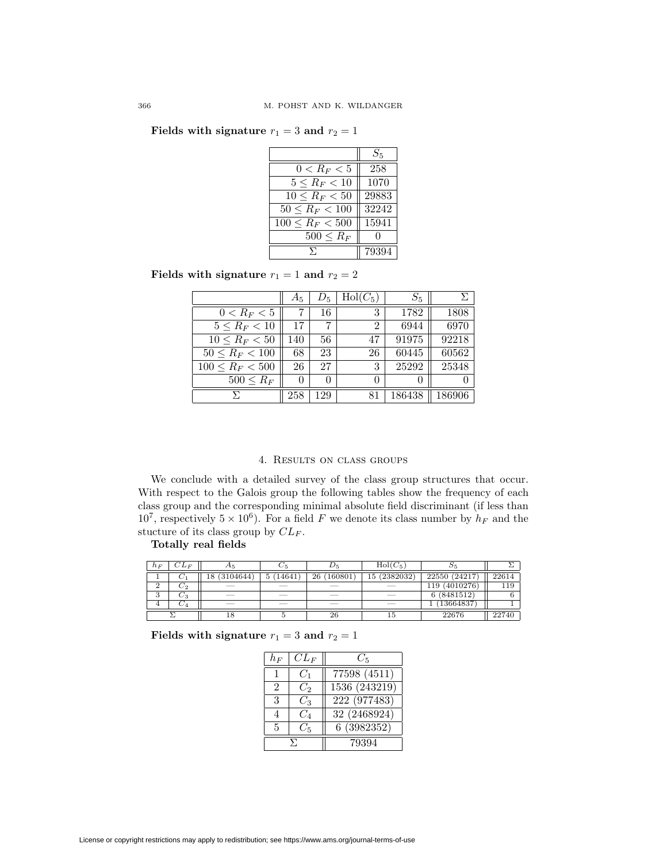**Fields with signature**  $r_1 = 3$  and  $r_2 = 1$ 

|                     | $S_{5}$ |
|---------------------|---------|
| $0 < R_F < 5$       | 258     |
| $5 \le R_F < 10$    | 1070    |
| $10 \le R_F < 50$   | 29883   |
| $50 \le R_F < 100$  | 32242   |
| $100 \le R_F < 500$ | 15941   |
| $500 \leq R_F$      |         |
|                     | 79394   |

**Fields with signature**  $r_1 = 1$  **and**  $r_2 = 2$ 

|                                | $A_5$ | $D_5$ | $\text{Hol}(C_5)$ | $S_5$        | Σ.     |
|--------------------------------|-------|-------|-------------------|--------------|--------|
| $0 < R_F < 5$                  |       | 16    | 3                 | 1782         | 1808   |
| $5 \le R_F < 10$               | 17    | ד     | 2                 | 6944         | 6970   |
| $\overline{10} \le R_F < 50$   | 140   | 56    | 47                | 91975        | 92218  |
| $50 \le R_F < 100$             | 68    | 23    | 26                | 60445        | 60562  |
| $\overline{100} \le R_F < 500$ | 26    | 27    | 3                 | 25292        | 25348  |
| $500 \leq R_F$                 |       |       |                   | $\mathbf{0}$ |        |
|                                | 258   | 129   | 81                | 186438       | 186906 |

## 4. Results on class groups

We conclude with a detailed survey of the class group structures that occur. With respect to the Galois group the following tables show the frequency of each class group and the corresponding minimal absolute field discriminant (if less than 10<sup>7</sup>, respectively  $5 \times 10^6$ ). For a field *F* we denote its class number by  $h_F$  and the stucture of its class group by *CL<sup>F</sup>* .

**Totally real fields**

| $n_F$ | $U L_F$           | A5                       | U.5                      |                          | $\operatorname{Hol}(C_5)$ | ω5               |       |
|-------|-------------------|--------------------------|--------------------------|--------------------------|---------------------------|------------------|-------|
|       | $\bigcup$         | (3104644)                | 4641<br>5                | 160801<br>26             | (2382032)<br>15.          | (24217)<br>22550 | 22614 |
|       | $\mathsf{\sim}_2$ | $\overline{\phantom{a}}$ | $\sim$                   | $\overline{\phantom{a}}$ | $-$                       | (4010276)<br>19  | 119   |
| Ω     | U3                | $\sim$                   | $\overline{\phantom{a}}$ | $\overline{\phantom{a}}$ | $\overline{\phantom{a}}$  | (8481512)<br>6.  |       |
|       | U4                | $\overline{\phantom{a}}$ | $-$                      | $-$                      | $\overline{\phantom{a}}$  | 13664837         |       |
|       |                   | 18                       |                          | 26                       | ιb                        | 22676            | 22740 |

**Fields with signature**  $r_1 = 3$  and  $r_2 = 1$ 

| $h_F$ | $CL_F$  | $C_{\rm 5}$   |
|-------|---------|---------------|
|       | $C_1$   | 77598 (4511)  |
| 2     | $C_2$   | 1536 (243219) |
| 3     | $C_3$   | 222 (977483)  |
|       | $C_4$   | 32 (2468924)  |
| 5     | $C_{5}$ | 6(3982352)    |
|       | У.      | 79394         |